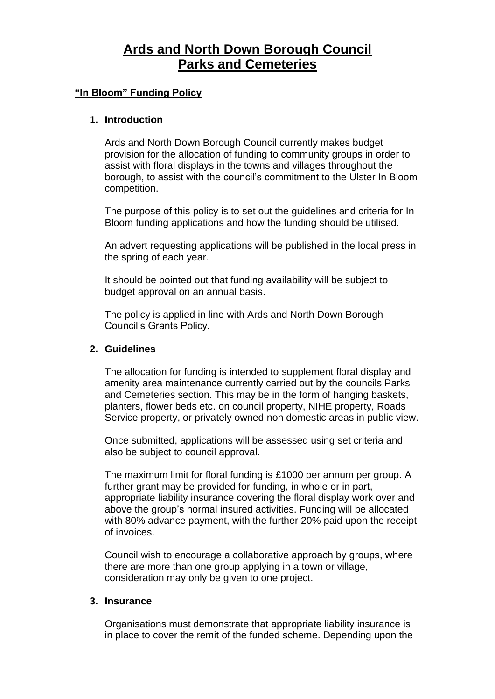# **Ards and North Down Borough Council Parks and Cemeteries**

## **"In Bloom" Funding Policy**

#### **1. Introduction**

Ards and North Down Borough Council currently makes budget provision for the allocation of funding to community groups in order to assist with floral displays in the towns and villages throughout the borough, to assist with the council's commitment to the Ulster In Bloom competition.

The purpose of this policy is to set out the guidelines and criteria for In Bloom funding applications and how the funding should be utilised.

An advert requesting applications will be published in the local press in the spring of each year.

It should be pointed out that funding availability will be subject to budget approval on an annual basis.

The policy is applied in line with Ards and North Down Borough Council's Grants Policy.

#### **2. Guidelines**

The allocation for funding is intended to supplement floral display and amenity area maintenance currently carried out by the councils Parks and Cemeteries section. This may be in the form of hanging baskets, planters, flower beds etc. on council property, NIHE property, Roads Service property, or privately owned non domestic areas in public view.

Once submitted, applications will be assessed using set criteria and also be subject to council approval.

The maximum limit for floral funding is £1000 per annum per group. A further grant may be provided for funding, in whole or in part, appropriate liability insurance covering the floral display work over and above the group's normal insured activities. Funding will be allocated with 80% advance payment, with the further 20% paid upon the receipt of invoices.

Council wish to encourage a collaborative approach by groups, where there are more than one group applying in a town or village, consideration may only be given to one project.

# **3. Insurance**

Organisations must demonstrate that appropriate liability insurance is in place to cover the remit of the funded scheme. Depending upon the